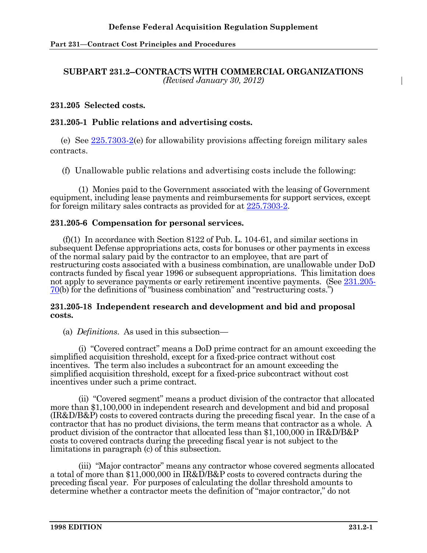## **SUBPART 231.2--CONTRACTS WITH COMMERCIAL ORGANIZATIONS** *(Revised January 30, 2012)*

## **231.205 Selected costs.**

# **231.205-1 Public relations and advertising costs.**

(e) See [225.7303-2\(](http://www.acq.osd.mil/dpap/dars/dfars/html/current/225_73.htm#225.7303-2)e) for allowability provisions affecting foreign military sales contracts.

(f) Unallowable public relations and advertising costs include the following:

(1) Monies paid to the Government associated with the leasing of Government equipment, including lease payments and reimbursements for support services, except for foreign military sales contracts as provided for at [225.7303-2.](http://www.acq.osd.mil/dpap/dars/dfars/html/current/225_73.htm#225.7303-2)

## **231.205-6 Compensation for personal services.**

(f)(1) In accordance with Section 8122 of Pub. L. 104-61, and similar sections in subsequent Defense appropriations acts, costs for bonuses or other payments in excess of the normal salary paid by the contractor to an employee, that are part of restructuring costs associated with a business combination, are unallowable under DoD contracts funded by fiscal year 1996 or subsequent appropriations. This limitation does not apply to severance payments or early retirement incentive payments. (See [231.205-](http://www.acq.osd.mil/dpap/dars/dfars/html/current/231_2.htm#231.205-70) [70](http://www.acq.osd.mil/dpap/dars/dfars/html/current/231_2.htm#231.205-70)(b) for the definitions of "business combination" and "restructuring costs.")

#### **231.205-18 Independent research and development and bid and proposal costs.**

(a) *Definitions*. As used in this subsection—

(i) "Covered contract" means a DoD prime contract for an amount exceeding the simplified acquisition threshold, except for a fixed-price contract without cost incentives. The term also includes a subcontract for an amount exceeding the simplified acquisition threshold, except for a fixed-price subcontract without cost incentives under such a prime contract.

(ii) "Covered segment" means a product division of the contractor that allocated more than \$1,100,000 in independent research and development and bid and proposal (IR&D/B&P) costs to covered contracts during the preceding fiscal year. In the case of a contractor that has no product divisions, the term means that contractor as a whole. A product division of the contractor that allocated less than \$1,100,000 in IR&D/B&P costs to covered contracts during the preceding fiscal year is not subject to the limitations in paragraph (c) of this subsection.

(iii) "Major contractor" means any contractor whose covered segments allocated a total of more than \$11,000,000 in IR&D/B&P costs to covered contracts during the preceding fiscal year. For purposes of calculating the dollar threshold amounts to determine whether a contractor meets the definition of "major contractor," do not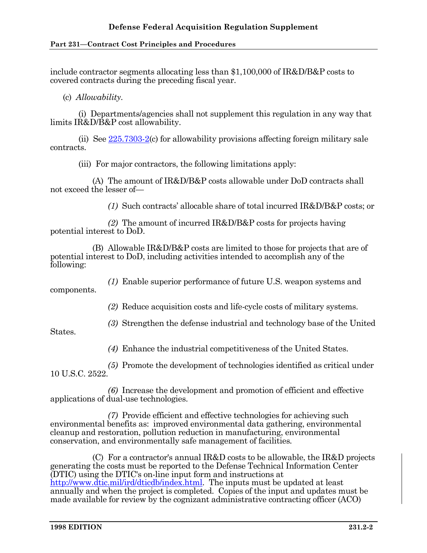include contractor segments allocating less than \$1,100,000 of IR&D/B&P costs to covered contracts during the preceding fiscal year.

(c) *Allowability*.

(i) Departments/agencies shall not supplement this regulation in any way that limits IR&D/B&P cost allowability.

(ii) See [225.7303-2\(](http://www.acq.osd.mil/dpap/dars/dfars/html/current/225_73.htm#225.7303-2)c) for allowability provisions affecting foreign military sale contracts.

(iii) For major contractors, the following limitations apply:

(A) The amount of IR&D/B&P costs allowable under DoD contracts shall not exceed the lesser of—

*(1)* Such contracts' allocable share of total incurred IR&D/B&P costs; or

*(2)* The amount of incurred IR&D/B&P costs for projects having potential interest to DoD.

(B) Allowable IR&D/B&P costs are limited to those for projects that are of potential interest to DoD, including activities intended to accomplish any of the following:

*(1)* Enable superior performance of future U.S. weapon systems and

components.

*(2)* Reduce acquisition costs and life-cycle costs of military systems.

*(3)* Strengthen the defense industrial and technology base of the United

States.

*(4)* Enhance the industrial competitiveness of the United States.

*(5)* Promote the development of technologies identified as critical under

10 U.S.C. 2522.

*(6)* Increase the development and promotion of efficient and effective applications of dual-use technologies.

*(7)* Provide efficient and effective technologies for achieving such environmental benefits as: improved environmental data gathering, environmental cleanup and restoration, pollution reduction in manufacturing, environmental conservation, and environmentally safe management of facilities*.*

(C) For a contractor's annual IR&D costs to be allowable, the IR&D projects generating the costs must be reported to the Defense Technical Information Center (DTIC) using the DTIC's on-line input form and instructions at [http://www.dtic.mil/ird/dticdb/index.html.](http://www.dtic.mil/ird/dticdb/index.html) The inputs must be updated at least annually and when the project is completed. Copies of the input and updates must be made available for review by the cognizant administrative contracting officer (ACO)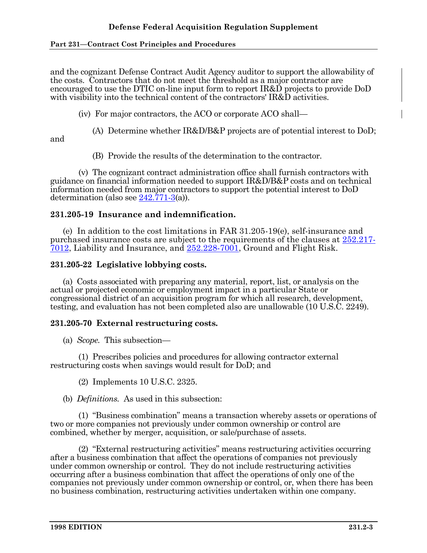and the cognizant Defense Contract Audit Agency auditor to support the allowability of the costs. Contractors that do not meet the threshold as a major contractor are encouraged to use the DTIC on-line input form to report IR&D projects to provide DoD with visibility into the technical content of the contractors' IR&D activities.

(iv) For major contractors, the ACO or corporate ACO shall—

(A) Determine whether IR&D/B&P projects are of potential interest to DoD;

and

(B) Provide the results of the determination to the contractor.

(v) The cognizant contract administration office shall furnish contractors with guidance on financial information needed to support IR&D/B&P costs and on technical information needed from major contractors to support the potential interest to DoD determination (also see [242.771-3\(](http://www.acq.osd.mil/dpap/dars/dfars/html/current/242_7.htm#242.771-3)a)).

# **231.205-19 Insurance and indemnification.**

(e) In addition to the cost limitations in FAR 31.205-19(e), self-insurance and purchased insurance costs are subject to the requirements of the clauses at [252.217-](http://www.acq.osd.mil/dpap/dars/dfars/html/current/252217.htm#252.217-7012) [7012,](http://www.acq.osd.mil/dpap/dars/dfars/html/current/252217.htm#252.217-7012) Liability and Insurance, and [252.228-7001,](http://www.acq.osd.mil/dpap/dars/dfars/html/current/252228.htm#252.228-7001) Ground and Flight Risk.

## **231.205-22 Legislative lobbying costs.**

(a) Costs associated with preparing any material, report, list, or analysis on the actual or projected economic or employment impact in a particular State or congressional district of an acquisition program for which all research, development, testing, and evaluation has not been completed also are unallowable (10 U.S.C. 2249).

## **231.205-70 External restructuring costs.**

(a) *Scope.* This subsection—

(1) Prescribes policies and procedures for allowing contractor external restructuring costs when savings would result for DoD; and

(2) Implements 10 U.S.C. 2325.

(b) *Definitions.* As used in this subsection:

(1) "Business combination" means a transaction whereby assets or operations of two or more companies not previously under common ownership or control are combined, whether by merger, acquisition, or sale/purchase of assets.

(2) "External restructuring activities" means restructuring activities occurring after a business combination that affect the operations of companies not previously under common ownership or control. They do not include restructuring activities occurring after a business combination that affect the operations of only one of the companies not previously under common ownership or control, or, when there has been no business combination, restructuring activities undertaken within one company.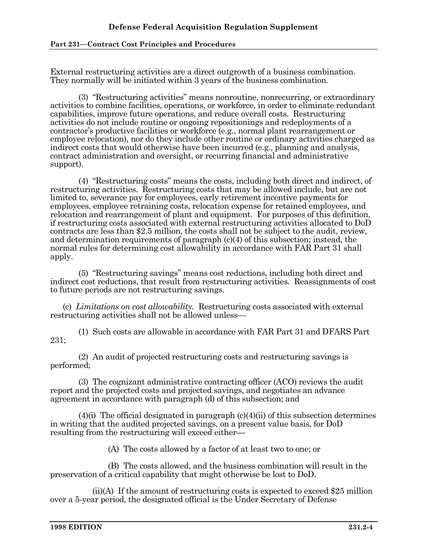External restructuring activities are a direct outgrowth of a business combination. They normally will be initiated within 3 years of the business combination.

(3) "Restructuring activities" means nonroutine, nonrecurring, or extraordinary activities to combine facilities, operations, or workforce, in order to eliminate redundant capabilities, improve future operations, and reduce overall costs. Restructuring activities do not include routine or ongoing repositionings and redeployments of a contractor's productive facilities or workforce (e.g., normal plant rearrangement or employee relocation), nor do they include other routine or ordinary activities charged as indirect costs that would otherwise have been incurred (e.g., planning and analysis, contract administration and oversight, or recurring financial and administrative support).

(4) "Restructuring costs" means the costs, including both direct and indirect, of restructuring activities. Restructuring costs that may be allowed include, but are not limited to, severance pay for employees, early retirement incentive payments for employees, employee retraining costs, relocation expense for retained employees, and relocation and rearrangement of plant and equipment. For purposes of this definition, if restructuring costs associated with external restructuring activities allocated to DoD contracts are less than \$2.5 million, the costs shall not be subject to the audit, review, and determination requirements of paragraph (c)(4) of this subsection; instead, the normal rules for determining cost allowability in accordance with FAR Part 31 shall apply.

(5) "Restructuring savings" means cost reductions, including both direct and indirect cost reductions, that result from restructuring activities. Reassignments of cost to future periods are not restructuring savings.

(c) *Limitations on cost allowability.* Restructuring costs associated with external restructuring activities shall not be allowed unless—

(1) Such costs are allowable in accordance with FAR Part 31 and DFARS Part 231;

(2) An audit of projected restructuring costs and restructuring savings is performed;

(3) The cognizant administrative contracting officer (ACO) reviews the audit report and the projected costs and projected savings, and negotiates an advance agreement in accordance with paragraph (d) of this subsection; and

 $(4)(i)$  The official designated in paragraph  $(c)(4)(ii)$  of this subsection determines in writing that the audited projected savings, on a present value basis, for DoD resulting from the restructuring will exceed either

(A) The costs allowed by a factor of at least two to one; or

(B) The costs allowed, and the business combination will result in the preservation of a critical capability that might otherwise be lost to DoD.

(ii)(A) If the amount of restructuring costs is expected to exceed \$25 million over a 5-year period, the designated official is the Under Secretary of Defense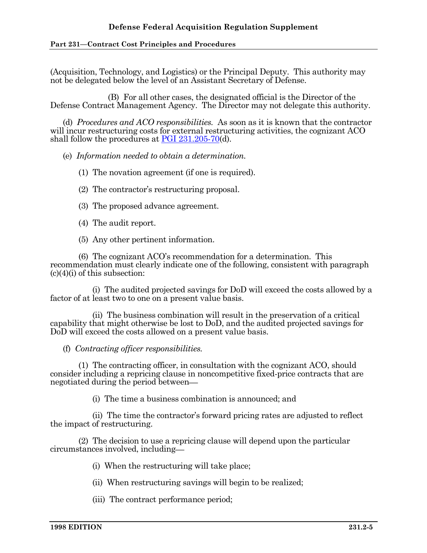(Acquisition, Technology, and Logistics) or the Principal Deputy. This authority may not be delegated below the level of an Assistant Secretary of Defense.

(B) For all other cases, the designated official is the Director of the Defense Contract Management Agency. The Director may not delegate this authority.

(d) *Procedures and ACO responsibilities.* As soon as it is known that the contractor will incur restructuring costs for external restructuring activities, the cognizant ACO shall follow the procedures at [PGI 231.205-70\(](http://www.acq.osd.mil/dpap/dars/pgi/pgi_htm/PGI231_2.htm#231.205-70)d).

(e) *Information needed to obtain a determination.*

(1) The novation agreement (if one is required).

- (2) The contractor's restructuring proposal.
- (3) The proposed advance agreement.
- (4) The audit report.
- (5) Any other pertinent information.

(6) The cognizant ACO's recommendation for a determination. This recommendation must clearly indicate one of the following, consistent with paragraph  $(c)(4)(i)$  of this subsection:

(i) The audited projected savings for DoD will exceed the costs allowed by a factor of at least two to one on a present value basis.

(ii) The business combination will result in the preservation of a critical capability that might otherwise be lost to DoD, and the audited projected savings for DoD will exceed the costs allowed on a present value basis.

(f) *Contracting officer responsibilities.*

(1) The contracting officer, in consultation with the cognizant ACO, should consider including a repricing clause in noncompetitive fixed-price contracts that are negotiated during the period between

(i) The time a business combination is announced; and

(ii) The time the contractor's forward pricing rates are adjusted to reflect the impact of restructuring.

(2) The decision to use a repricing clause will depend upon the particular circumstances involved, including

- (i) When the restructuring will take place;
- (ii) When restructuring savings will begin to be realized;
- (iii) The contract performance period;